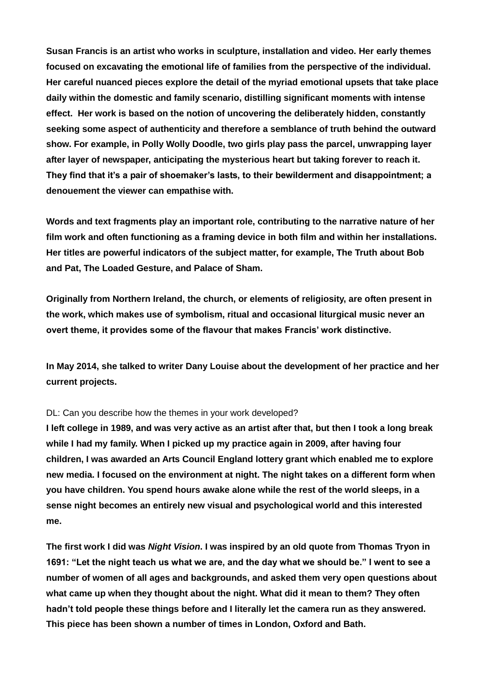**Susan Francis is an artist who works in sculpture, installation and video. Her early themes focused on excavating the emotional life of families from the perspective of the individual. Her careful nuanced pieces explore the detail of the myriad emotional upsets that take place daily within the domestic and family scenario, distilling significant moments with intense effect. Her work is based on the notion of uncovering the deliberately hidden, constantly seeking some aspect of authenticity and therefore a semblance of truth behind the outward show. For example, in Polly Wolly Doodle, two girls play pass the parcel, unwrapping layer after layer of newspaper, anticipating the mysterious heart but taking forever to reach it. They find that it's a pair of shoemaker's lasts, to their bewilderment and disappointment; a denouement the viewer can empathise with.** 

**Words and text fragments play an important role, contributing to the narrative nature of her film work and often functioning as a framing device in both film and within her installations. Her titles are powerful indicators of the subject matter, for example, The Truth about Bob and Pat, The Loaded Gesture, and Palace of Sham.** 

**Originally from Northern Ireland, the church, or elements of religiosity, are often present in the work, which makes use of symbolism, ritual and occasional liturgical music never an overt theme, it provides some of the flavour that makes Francis' work distinctive.** 

**In May 2014, she talked to writer Dany Louise about the development of her practice and her current projects.**

## DL: Can you describe how the themes in your work developed?

**I left college in 1989, and was very active as an artist after that, but then I took a long break while I had my family. When I picked up my practice again in 2009, after having four children, I was awarded an Arts Council England lottery grant which enabled me to explore new media. I focused on the environment at night. The night takes on a different form when you have children. You spend hours awake alone while the rest of the world sleeps, in a sense night becomes an entirely new visual and psychological world and this interested me.**

**The first work I did was** *Night Vision***. I was inspired by an old quote from Thomas Tryon in 1691: "Let the night teach us what we are, and the day what we should be." I went to see a number of women of all ages and backgrounds, and asked them very open questions about what came up when they thought about the night. What did it mean to them? They often hadn't told people these things before and I literally let the camera run as they answered. This piece has been shown a number of times in London, Oxford and Bath.**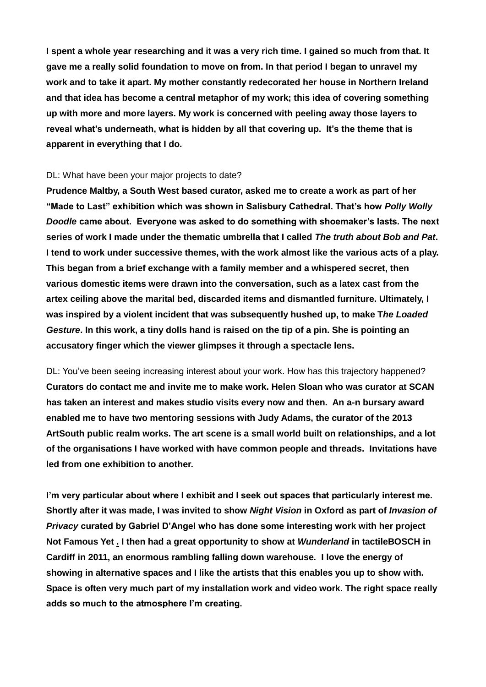**I spent a whole year researching and it was a very rich time. I gained so much from that. It gave me a really solid foundation to move on from. In that period I began to unravel my work and to take it apart. My mother constantly redecorated her house in Northern Ireland and that idea has become a central metaphor of my work; this idea of covering something up with more and more layers. My work is concerned with peeling away those layers to reveal what's underneath, what is hidden by all that covering up. It's the theme that is apparent in everything that I do.**

## DL: What have been your major projects to date?

**Prudence Maltby, a South West based curator, asked me to create a work as part of her "Made to Last" exhibition which was shown in Salisbury Cathedral. That's how** *Polly Wolly Doodle* **came about. Everyone was asked to do something with shoemaker's lasts. The next series of work I made under the thematic umbrella that I called** *The truth about Bob and Pat***. I tend to work under successive themes, with the work almost like the various acts of a play. This began from a brief exchange with a family member and a whispered secret, then various domestic items were drawn into the conversation, such as a latex cast from the artex ceiling above the marital bed, discarded items and dismantled furniture. Ultimately, I was inspired by a violent incident that was subsequently hushed up, to make T***he Loaded Gesture***. In this work, a tiny dolls hand is raised on the tip of a pin. She is pointing an accusatory finger which the viewer glimpses it through a spectacle lens.**

DL: You've been seeing increasing interest about your work. How has this trajectory happened? **Curators do contact me and invite me to make work. Helen Sloan who was curator at SCAN has taken an interest and makes studio visits every now and then. An a-n bursary award enabled me to have two mentoring sessions with Judy Adams, the curator of the 2013 ArtSouth public realm works. The art scene is a small world built on relationships, and a lot of the organisations I have worked with have common people and threads. Invitations have led from one exhibition to another.**

**I'm very particular about where I exhibit and I seek out spaces that particularly interest me. Shortly after it was made, I was invited to show** *Night Vision* **in Oxford as part of** *Invasion of Privacy* **curated by Gabriel D'Angel who has done some interesting work with her project Not Famous Yet . I then had a great opportunity to show at** *Wunderland* **in tactileBOSCH in Cardiff in 2011, an enormous rambling falling down warehouse. I love the energy of showing in alternative spaces and I like the artists that this enables you up to show with. Space is often very much part of my installation work and video work. The right space really adds so much to the atmosphere I'm creating.**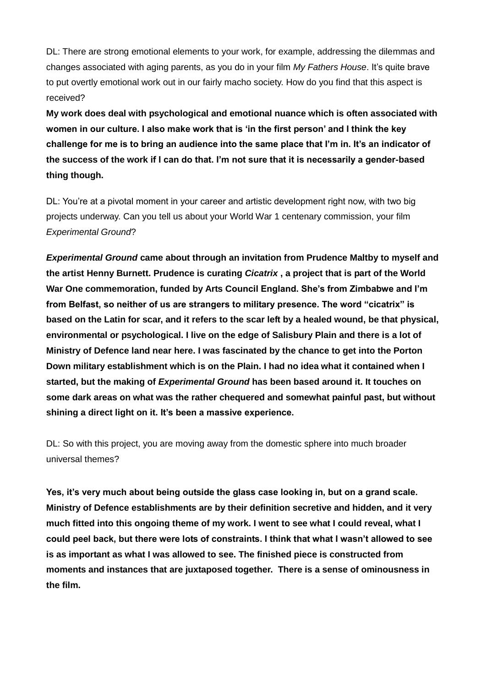DL: There are strong emotional elements to your work, for example, addressing the dilemmas and changes associated with aging parents, as you do in your film *My Fathers House*. It's quite brave to put overtly emotional work out in our fairly macho society. How do you find that this aspect is received?

**My work does deal with psychological and emotional nuance which is often associated with women in our culture. I also make work that is 'in the first person' and I think the key challenge for me is to bring an audience into the same place that I'm in. It's an indicator of the success of the work if I can do that. I'm not sure that it is necessarily a gender-based thing though.**

DL: You're at a pivotal moment in your career and artistic development right now, with two big projects underway. Can you tell us about your World War 1 centenary commission, your film *Experimental Ground*?

*Experimental Ground* **came about through an invitation from Prudence Maltby to myself and the artist Henny Burnett. Prudence is curating** *Cicatrix* **, a project that is part of the World War One commemoration, funded by Arts Council England. She's from Zimbabwe and I'm from Belfast, so neither of us are strangers to military presence. The word "cicatrix" is based on the Latin for scar, and it refers to the scar left by a healed wound, be that physical, environmental or psychological. I live on the edge of Salisbury Plain and there is a lot of Ministry of Defence land near here. I was fascinated by the chance to get into the Porton Down military establishment which is on the Plain. I had no idea what it contained when I started, but the making of** *Experimental Ground* **has been based around it. It touches on some dark areas on what was the rather chequered and somewhat painful past, but without shining a direct light on it. It's been a massive experience.** 

DL: So with this project, you are moving away from the domestic sphere into much broader universal themes?

**Yes, it's very much about being outside the glass case looking in, but on a grand scale. Ministry of Defence establishments are by their definition secretive and hidden, and it very much fitted into this ongoing theme of my work. I went to see what I could reveal, what I could peel back, but there were lots of constraints. I think that what I wasn't allowed to see is as important as what I was allowed to see. The finished piece is constructed from moments and instances that are juxtaposed together. There is a sense of ominousness in the film.**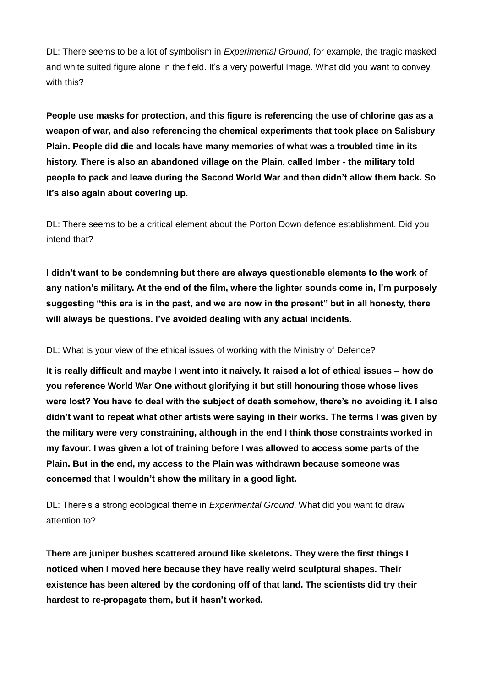DL: There seems to be a lot of symbolism in *Experimental Ground*, for example, the tragic masked and white suited figure alone in the field. It's a very powerful image. What did you want to convey with this?

**People use masks for protection, and this figure is referencing the use of chlorine gas as a weapon of war, and also referencing the chemical experiments that took place on Salisbury Plain. People did die and locals have many memories of what was a troubled time in its history. There is also an abandoned village on the Plain, called Imber - the military told people to pack and leave during the Second World War and then didn't allow them back. So it's also again about covering up.**

DL: There seems to be a critical element about the Porton Down defence establishment. Did you intend that?

**I didn't want to be condemning but there are always questionable elements to the work of any nation's military. At the end of the film, where the lighter sounds come in, I'm purposely suggesting "this era is in the past, and we are now in the present" but in all honesty, there will always be questions. I've avoided dealing with any actual incidents.** 

DL: What is your view of the ethical issues of working with the Ministry of Defence?

**It is really difficult and maybe I went into it naively. It raised a lot of ethical issues – how do you reference World War One without glorifying it but still honouring those whose lives were lost? You have to deal with the subject of death somehow, there's no avoiding it. I also didn't want to repeat what other artists were saying in their works. The terms I was given by the military were very constraining, although in the end I think those constraints worked in my favour. I was given a lot of training before I was allowed to access some parts of the Plain. But in the end, my access to the Plain was withdrawn because someone was concerned that I wouldn't show the military in a good light.** 

DL: There's a strong ecological theme in *Experimental Ground*. What did you want to draw attention to?

**There are juniper bushes scattered around like skeletons. They were the first things I noticed when I moved here because they have really weird sculptural shapes. Their existence has been altered by the cordoning off of that land. The scientists did try their hardest to re-propagate them, but it hasn't worked.**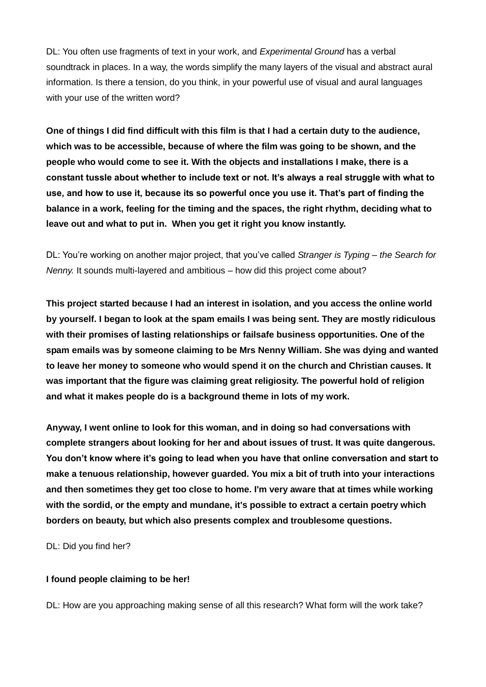DL: You often use fragments of text in your work, and *Experimental Ground* has a verbal soundtrack in places. In a way, the words simplify the many layers of the visual and abstract aural information. Is there a tension, do you think, in your powerful use of visual and aural languages with your use of the written word?

**One of things I did find difficult with this film is that I had a certain duty to the audience, which was to be accessible, because of where the film was going to be shown, and the people who would come to see it. With the objects and installations I make, there is a constant tussle about whether to include text or not. It's always a real struggle with what to use, and how to use it, because its so powerful once you use it. That's part of finding the balance in a work, feeling for the timing and the spaces, the right rhythm, deciding what to leave out and what to put in. When you get it right you know instantly.**

DL: You're working on another major project, that you've called *Stranger is Typing – the Search for Nenny.* It sounds multi-layered and ambitious – how did this project come about?

**This project started because I had an interest in isolation, and you access the online world by yourself. I began to look at the spam emails I was being sent. They are mostly ridiculous with their promises of lasting relationships or failsafe business opportunities. One of the spam emails was by someone claiming to be Mrs Nenny William. She was dying and wanted to leave her money to someone who would spend it on the church and Christian causes. It was important that the figure was claiming great religiosity. The powerful hold of religion and what it makes people do is a background theme in lots of my work.**

**Anyway, I went online to look for this woman, and in doing so had conversations with complete strangers about looking for her and about issues of trust. It was quite dangerous. You don't know where it's going to lead when you have that online conversation and start to make a tenuous relationship, however guarded. You mix a bit of truth into your interactions and then sometimes they get too close to home. I'm very aware that at times while working with the sordid, or the empty and mundane, it's possible to extract a certain poetry which borders on beauty, but which also presents complex and troublesome questions.**

DL: Did you find her?

## **I found people claiming to be her!**

DL: How are you approaching making sense of all this research? What form will the work take?